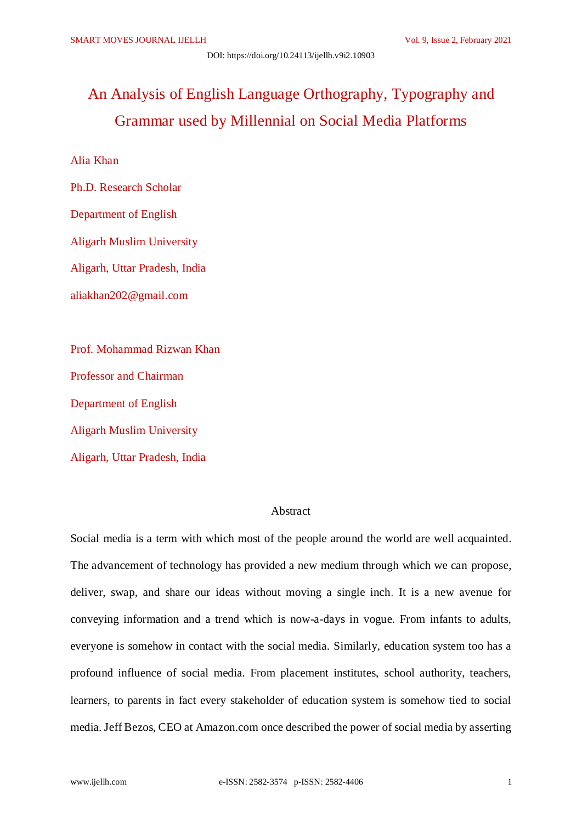# An Analysis of English Language Orthography, Typography and Grammar used by Millennial on Social Media Platforms

Alia Khan

Ph.D. Research Scholar Department of English Aligarh Muslim University Aligarh, Uttar Pradesh, India aliakhan202@gmail.com

Prof. Mohammad Rizwan Khan Professor and Chairman Department of English Aligarh Muslim University Aligarh, Uttar Pradesh, India

# Abstract

Social media is a term with which most of the people around the world are well acquainted. The advancement of technology has provided a new medium through which we can propose, deliver, swap, and share our ideas without moving a single inch. It is a new avenue for conveying information and a trend which is now-a-days in vogue. From infants to adults, everyone is somehow in contact with the social media. Similarly, education system too has a profound influence of social media. From placement institutes, school authority, teachers, learners, to parents in fact every stakeholder of education system is somehow tied to social media. Jeff Bezos, CEO at Amazon.com once described the power of social media by asserting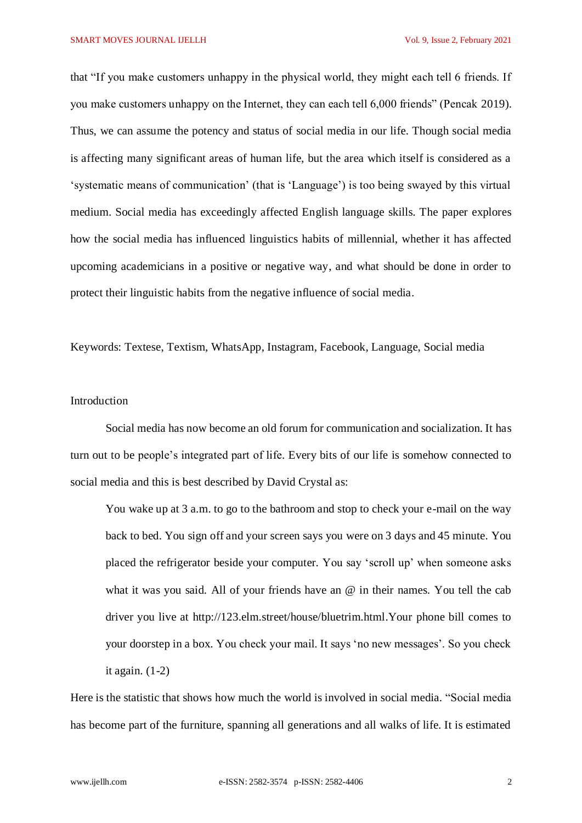that "If you make customers unhappy in the physical world, they might each tell 6 friends. If you make customers unhappy on the Internet, they can each tell 6,000 friends" (Pencak 2019). Thus, we can assume the potency and status of social media in our life. Though social media is affecting many significant areas of human life, but the area which itself is considered as a 'systematic means of communication' (that is 'Language') is too being swayed by this virtual medium. Social media has exceedingly affected English language skills. The paper explores how the social media has influenced linguistics habits of millennial, whether it has affected upcoming academicians in a positive or negative way, and what should be done in order to protect their linguistic habits from the negative influence of social media.

Keywords: Textese, Textism, WhatsApp, Instagram, Facebook, Language, Social media

# Introduction

Social media has now become an old forum for communication and socialization. It has turn out to be people's integrated part of life. Every bits of our life is somehow connected to social media and this is best described by David Crystal as:

You wake up at 3 a.m. to go to the bathroom and stop to check your e-mail on the way back to bed. You sign off and your screen says you were on 3 days and 45 minute. You placed the refrigerator beside your computer. You say 'scroll up' when someone asks what it was you said. All of your friends have an  $\omega$  in their names. You tell the cab driver you live at http://123.elm.street/house/bluetrim.html.Your phone bill comes to your doorstep in a box. You check your mail. It says 'no new messages'. So you check it again.  $(1-2)$ 

Here is the statistic that shows how much the world is involved in social media. "Social media has become part of the furniture, spanning all generations and all walks of life. It is estimated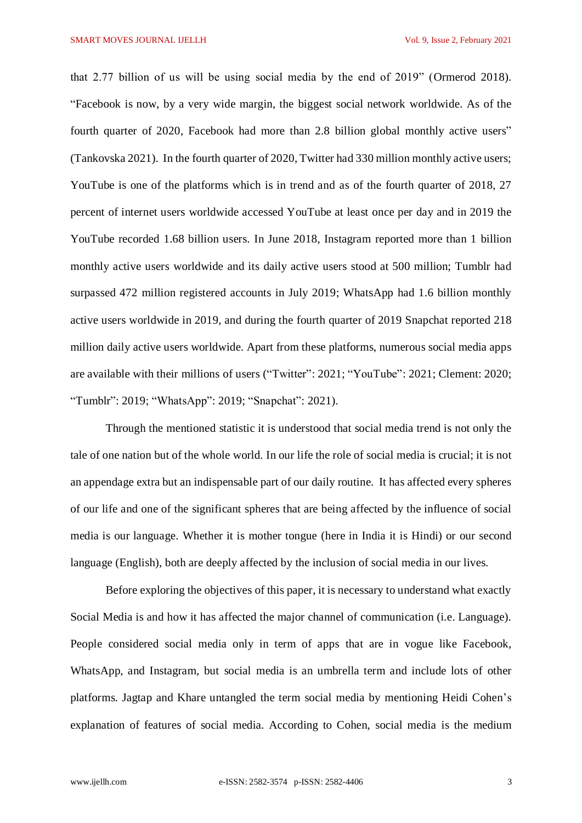that 2.77 billion of us will be using social media by the end of 2019" (Ormerod 2018). "Facebook is now, by a very wide margin, the biggest social network [worldwide.](https://www.statista.com/statistics/272014/global-social-networks-ranked-by-number-of-users/) As of the fourth quarter of 2020, Facebook had more than 2.8 billion global [monthly](https://www.statista.com/statistics/264810/number-of-monthly-active-facebook-users-worldwide/) active users" (Tankovska 2021). In the fourth quarter of 2020, Twitter had 330 million [monthly](https://www.statista.com/statistics/282087/number-of-monthly-active-twitter-users/) active users; YouTube is one of the platforms which is in trend and as of the fourth quarter of 2018, 27 percent of internet users worldwide accessed [YouTube](https://www.statista.com/statistics/497008/active-social-media-users-login-daily-rate-network/) at least once per day and in 2019 the YouTube recorded 1.68 billion users. In June 2018, Instagram reported more than 1 [billion](https://www.statista.com/statistics/253577/number-of-monthly-active-instagram-users/) monthly active users [worldwide](https://www.statista.com/statistics/253577/number-of-monthly-active-instagram-users/) and its daily [active](https://www.statista.com/statistics/657823/number-of-daily-active-instagram-users/) users stood at 500 million; Tumblr had surpassed 472 million [registered](https://www.statista.com/statistics/256235/total-cumulative-number-of-tumblr-blogs/) accounts in July 2019; WhatsApp had 1.6 billion [monthly](https://www.statista.com/statistics/260819/number-of-monthly-active-whatsapp-users/) active users [worldwide](https://www.statista.com/statistics/260819/number-of-monthly-active-whatsapp-users/) in 2019, and during the fourth quarter of 2019 [Snapchat](https://www.statista.com/statistics/545967/snapchat-app-dau/) reported 218 million daily active users [worldwide.](https://www.statista.com/statistics/545967/snapchat-app-dau/) Apart from these platforms, numerous social media apps are available with their millions of users ("Twitter": 2021; "YouTube": 2021; Clement: 2020; "Tumblr": 2019; "WhatsApp": 2019; "Snapchat": 2021).

Through the mentioned statistic it is understood that social media trend is not only the tale of one nation but of the whole world. In our life the role of social media is crucial; it is not an appendage extra but an indispensable part of our daily routine. It has affected every spheres of our life and one of the significant spheres that are being affected by the influence of social media is our language. Whether it is mother tongue (here in India it is Hindi) or our second language (English), both are deeply affected by the inclusion of social media in our lives.

Before exploring the objectives of this paper, it is necessary to understand what exactly Social Media is and how it has affected the major channel of communication (i.e. Language). People considered social media only in term of apps that are in vogue like Facebook, WhatsApp, and Instagram, but social media is an umbrella term and include lots of other platforms. Jagtap and Khare untangled the term social media by mentioning Heidi Cohen's explanation of features of social media. According to Cohen, social media is the medium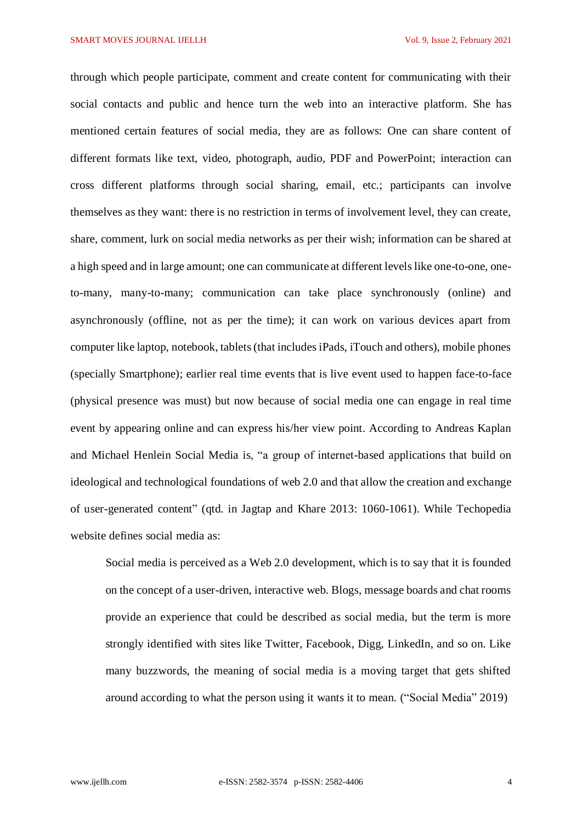SMART MOVES JOURNAL IJELLH Vol. 9, Issue 2, February 2021

through which people participate, comment and create content for communicating with their social contacts and public and hence turn the web into an interactive platform. She has mentioned certain features of social media, they are as follows: One can share content of different formats like text, video, photograph, audio, PDF and PowerPoint; interaction can cross different platforms through social sharing, email, etc.; participants can involve themselves as they want: there is no restriction in terms of involvement level, they can create, share, comment, lurk on social media networks as per their wish; information can be shared at a high speed and in large amount; one can communicate at different levels like one-to-one, oneto-many, many-to-many; communication can take place synchronously (online) and asynchronously (offline, not as per the time); it can work on various devices apart from computer like laptop, notebook, tablets (that includes iPads, iTouch and others), mobile phones (specially Smartphone); earlier real time events that is live event used to happen face-to-face (physical presence was must) but now because of social media one can engage in real time event by appearing online and can express his/her view point. According to Andreas Kaplan and Michael Henlein Social Media is, "a group of internet-based applications that build on ideological and technological foundations of web 2.0 and that allow the creation and exchange of user-generated content" (qtd. in Jagtap and Khare 2013: 1060-1061). While Techopedia website defines social media as:

Social media is perceived as a Web 2.0 development, which is to say that it is founded on the concept of a user-driven, interactive web. Blogs, message boards and chat rooms provide an experience that could be described as social media, but the term is more strongly identified with sites like Twitter, Facebook, Digg, LinkedIn, and so on. Like many buzzwords, the meaning of social media is a moving target that gets shifted around according to what the person using it wants it to mean. ("Social Media" 2019)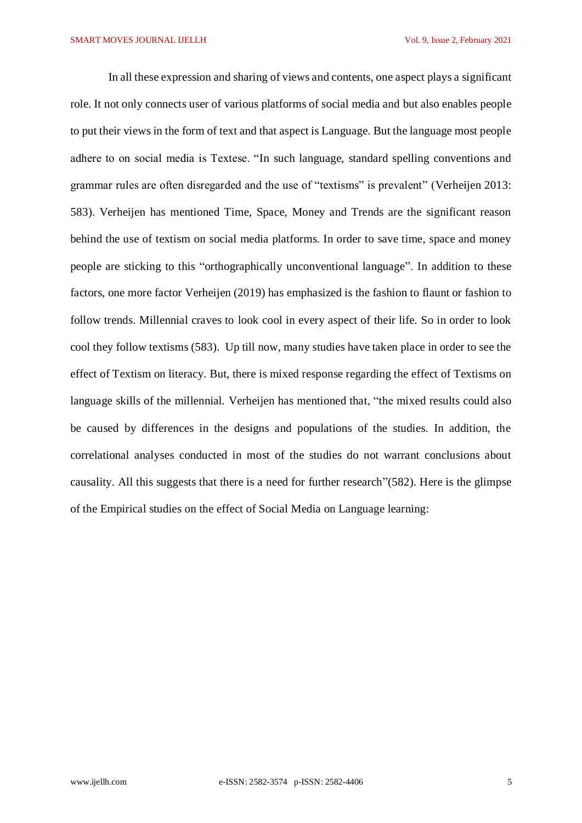In all these expression and sharing of views and contents, one aspect plays a significant role. It not only connects user of various platforms of social media and but also enables people to put their views in the form of text and that aspect is Language. But the language most people adhere to on social media is Textese. "In such language, standard spelling conventions and grammar rules are often disregarded and the use of "textisms" is prevalent" (Verheijen 2013: 583). Verheijen has mentioned Time, Space, Money and Trends are the significant reason behind the use of textism on social media platforms. In order to save time, space and money people are sticking to this "orthographically unconventional language". In addition to these factors, one more factor Verheijen (2019) has emphasized is the fashion to flaunt or fashion to follow trends. Millennial craves to look cool in every aspect of their life. So in order to look cool they follow textisms (583). Up till now, many studies have taken place in order to see the effect of Textism on literacy. But, there is mixed response regarding the effect of Textisms on language skills of the millennial. Verheijen has mentioned that, "the mixed results could also be caused by differences in the designs and populations of the studies. In addition, the correlational analyses conducted in most of the studies do not warrant conclusions about causality. All this suggests that there is a need for further research"(582). Here is the glimpse of the Empirical studies on the effect of Social Media on Language learning: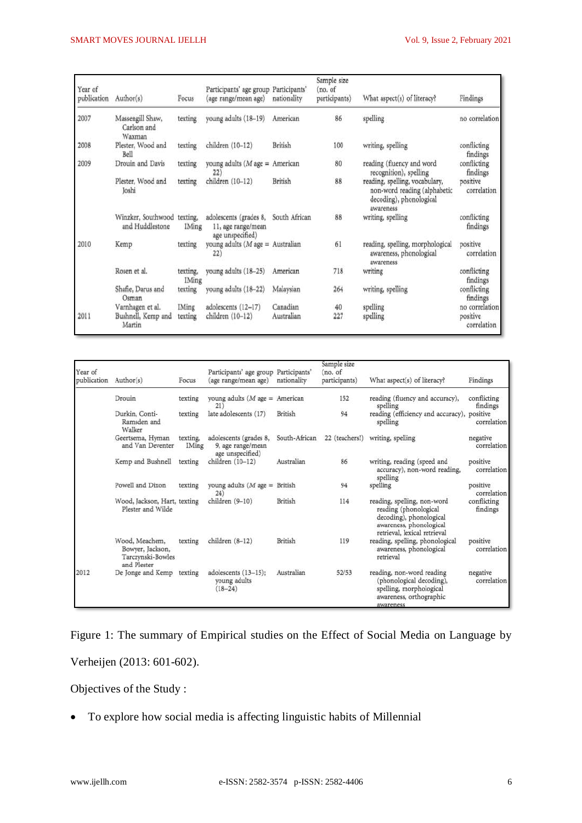| Year of<br>publication | Author(s)                                      | Focus                    | Participants' age group Participants'<br>(age range/mean age)    | nationality    | Sample size<br>(no. of<br>participants) | What aspect(s) of literacy?                                                                            | Findings                |
|------------------------|------------------------------------------------|--------------------------|------------------------------------------------------------------|----------------|-----------------------------------------|--------------------------------------------------------------------------------------------------------|-------------------------|
| 2007                   | Massengill Shaw,<br>Carlson and<br>Waxman      | texting                  | young adults (18-19)                                             | American       | 86                                      | spelling                                                                                               | no correlation          |
| 2008                   | Plester, Wood and<br>Bell                      | texting                  | children (10-12)                                                 | <b>British</b> | 100                                     | writing, spelling                                                                                      | conflicting<br>findings |
| 2009                   | Drouin and Davis                               | texting                  | young adults ( $M$ age =<br>22)                                  | American       | 80                                      | reading (fluency and word<br>recognition), spelling                                                    | conflicting<br>findings |
|                        | Plester, Wood and<br>Joshi                     | texting                  | children (10-12)                                                 | British        | 88                                      | reading, spelling, vocabulary,<br>non-word reading (alphabetic<br>decoding), phonological<br>awareness | positive<br>correlation |
|                        | Winzker, Southwood texting,<br>and Huddlestone | <b>IMing</b>             | adolescents (grades 8,<br>11, age range/mean<br>age unspecified) | South African  | 88                                      | writing, spelling                                                                                      | conflicting<br>findings |
| 2010                   | Kemp                                           | texting                  | young adults ( $M$ age = Australian<br>22)                       |                | 61                                      | reading, spelling, morphological<br>awareness, phonological<br>awareness                               | positive<br>correlation |
|                        | Rosen et al.                                   | texting,<br><b>IMing</b> | young adults (18-25)                                             | American       | 718                                     | writing                                                                                                | conflicting<br>findings |
|                        | Shafie, Darus and<br>Osman                     | texting                  | young adults (18-22)                                             | Malaysian      | 264                                     | writing, spelling                                                                                      | conflicting<br>findings |
|                        | Varnhagen et al.                               | <b>IMing</b>             | adolescents (12-17)                                              | Canadian       | 40                                      | spelling                                                                                               | no correlation          |
| 2011                   | Bushnell, Kemp and<br>Martin                   | texting                  | children (10-12)                                                 | Australian     | 227                                     | spelling                                                                                               | positive<br>correlation |

| Year of<br>publication | Author(s)                                                              | Focus                    | Participants' age group Participants'<br>(age range/mean age)   | nationality    | Sample size<br>(no. of<br>participants) | What aspect(s) of literacy?                                                                                                                | Findings                |
|------------------------|------------------------------------------------------------------------|--------------------------|-----------------------------------------------------------------|----------------|-----------------------------------------|--------------------------------------------------------------------------------------------------------------------------------------------|-------------------------|
|                        | Drouin                                                                 | texting                  | young adults ( $M$ age = American<br>21)                        |                | 152                                     | reading (fluency and accuracy),<br>spelling                                                                                                | conflicting<br>findings |
|                        | Durkin, Conti-<br>Ramsden and<br>Walker                                | texting                  | late adolescents (17)                                           | British        | 94                                      | reading (efficiency and accuracy), positive<br>spelling                                                                                    | correlation             |
|                        | Geertsema, Hyman<br>and Van Deventer                                   | texting,<br><b>IMing</b> | adolescents (grades 8,<br>9, age range/mean<br>age unspecified) | South-African  | 22 (teachers!)                          | writing, spelling                                                                                                                          | negative<br>correlation |
|                        | Kemp and Bushnell                                                      | texting                  | children (10-12)                                                | Australian     | 86                                      | writing, reading (speed and<br>accuracy), non-word reading,<br>spelling                                                                    | positive<br>correlation |
|                        | Powell and Dixon                                                       | texting                  | young adults ( $M$ age = British<br>24)                         |                | 94                                      | spelling                                                                                                                                   | positive<br>correlation |
|                        | Wood, Jackson, Hart, texting<br>Plester and Wilde                      |                          | children (9-10)                                                 | British        | 114                                     | reading, spelling, non-word<br>reading (phonological<br>decoding), phonological<br>awareness, phonological<br>retrieval, lexical retrieval | conflicting<br>findings |
|                        | Wood, Meachem,<br>Bowyer, Jackson,<br>Tarczynski-Bowles<br>and Plester | texting                  | children (8-12)                                                 | <b>British</b> | 119                                     | reading, spelling, phonological<br>awareness, phonological<br>retrieval                                                                    | positive<br>correlation |
| 2012                   | De Jonge and Kemp                                                      | texting                  | adolescents (13-15);<br>young adults<br>$(18 - 24)$             | Australian     | 52/53                                   | reading, non-word reading<br>(phonological decoding),<br>spelling, morphological<br>awareness, orthographic<br>awareness                   | negative<br>correlation |

Figure 1: The summary of Empirical studies on the Effect of Social Media on Language by Verheijen (2013: 601-602).

Objectives of the Study :

To explore how social media is affecting linguistic habits of Millennial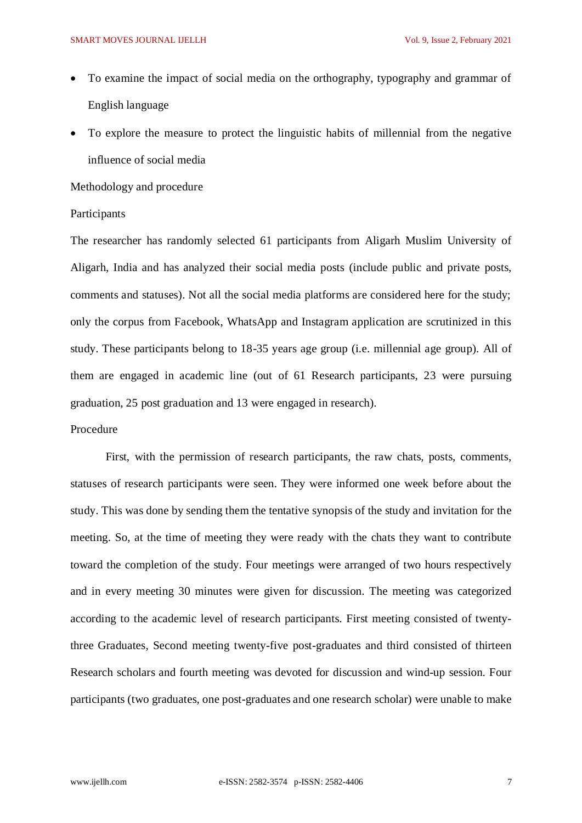- To examine the impact of social media on the orthography, typography and grammar of English language
- To explore the measure to protect the linguistic habits of millennial from the negative influence of social media

Methodology and procedure

### Participants

The researcher has randomly selected 61 participants from Aligarh Muslim University of Aligarh, India and has analyzed their social media posts (include public and private posts, comments and statuses). Not all the social media platforms are considered here for the study; only the corpus from Facebook, WhatsApp and Instagram application are scrutinized in this study. These participants belong to 18-35 years age group (i.e. millennial age group). All of them are engaged in academic line (out of 61 Research participants, 23 were pursuing graduation, 25 post graduation and 13 were engaged in research).

#### Procedure

First, with the permission of research participants, the raw chats, posts, comments, statuses of research participants were seen. They were informed one week before about the study. This was done by sending them the tentative synopsis of the study and invitation for the meeting. So, at the time of meeting they were ready with the chats they want to contribute toward the completion of the study. Four meetings were arranged of two hours respectively and in every meeting 30 minutes were given for discussion. The meeting was categorized according to the academic level of research participants. First meeting consisted of twentythree Graduates, Second meeting twenty-five post-graduates and third consisted of thirteen Research scholars and fourth meeting was devoted for discussion and wind-up session. Four participants (two graduates, one post-graduates and one research scholar) were unable to make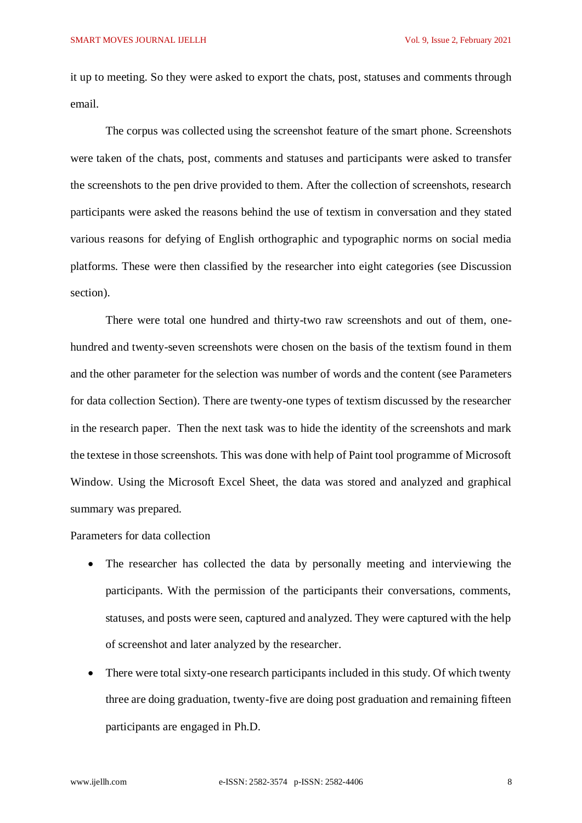it up to meeting. So they were asked to export the chats, post, statuses and comments through email.

The corpus was collected using the screenshot feature of the smart phone. Screenshots were taken of the chats, post, comments and statuses and participants were asked to transfer the screenshots to the pen drive provided to them. After the collection of screenshots, research participants were asked the reasons behind the use of textism in conversation and they stated various reasons for defying of English orthographic and typographic norms on social media platforms. These were then classified by the researcher into eight categories (see Discussion section).

There were total one hundred and thirty-two raw screenshots and out of them, onehundred and twenty-seven screenshots were chosen on the basis of the textism found in them and the other parameter for the selection was number of words and the content (see Parameters for data collection Section). There are twenty-one types of textism discussed by the researcher in the research paper. Then the next task was to hide the identity of the screenshots and mark the textese in those screenshots. This was done with help of Paint tool programme of Microsoft Window. Using the Microsoft Excel Sheet, the data was stored and analyzed and graphical summary was prepared.

Parameters for data collection

- The researcher has collected the data by personally meeting and interviewing the participants. With the permission of the participants their conversations, comments, statuses, and posts were seen, captured and analyzed. They were captured with the help of screenshot and later analyzed by the researcher.
- There were total sixty-one research participants included in this study. Of which twenty three are doing graduation, twenty-five are doing post graduation and remaining fifteen participants are engaged in Ph.D.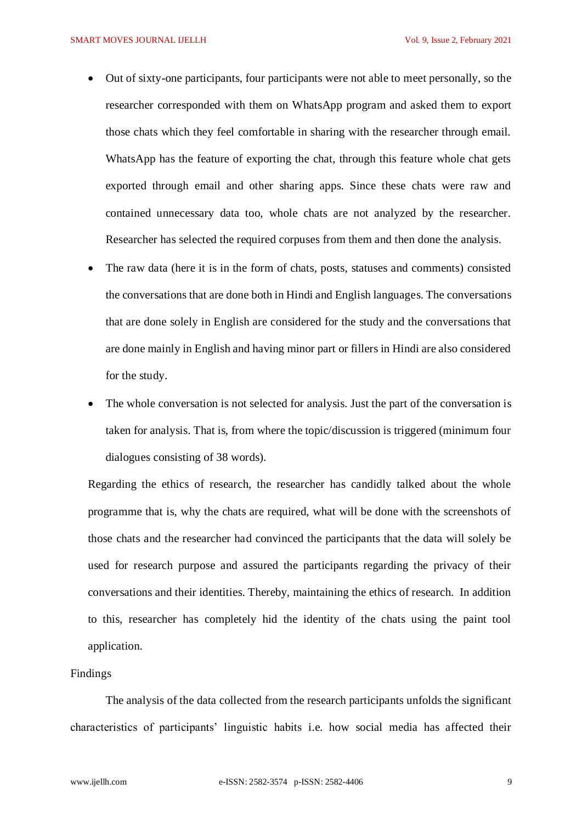- Out of sixty-one participants, four participants were not able to meet personally, so the researcher corresponded with them on WhatsApp program and asked them to export those chats which they feel comfortable in sharing with the researcher through email. WhatsApp has the feature of exporting the chat, through this feature whole chat gets exported through email and other sharing apps. Since these chats were raw and contained unnecessary data too, whole chats are not analyzed by the researcher. Researcher has selected the required corpuses from them and then done the analysis.
- The raw data (here it is in the form of chats, posts, statuses and comments) consisted the conversations that are done both in Hindi and English languages. The conversations that are done solely in English are considered for the study and the conversations that are done mainly in English and having minor part or fillers in Hindi are also considered for the study.
- The whole conversation is not selected for analysis. Just the part of the conversation is taken for analysis. That is, from where the topic/discussion is triggered (minimum four dialogues consisting of 38 words).

Regarding the ethics of research, the researcher has candidly talked about the whole programme that is, why the chats are required, what will be done with the screenshots of those chats and the researcher had convinced the participants that the data will solely be used for research purpose and assured the participants regarding the privacy of their conversations and their identities. Thereby, maintaining the ethics of research. In addition to this, researcher has completely hid the identity of the chats using the paint tool application.

# Findings

The analysis of the data collected from the research participants unfolds the significant characteristics of participants' linguistic habits i.e. how social media has affected their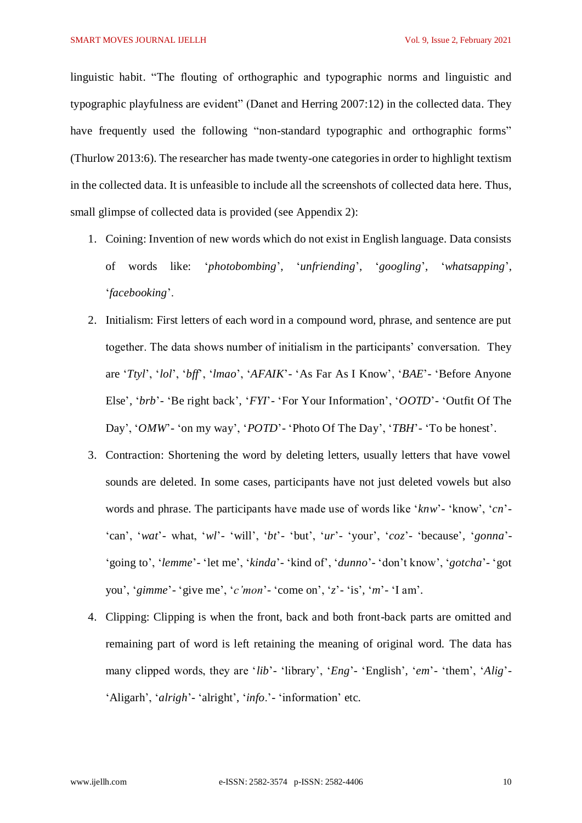linguistic habit. "The flouting of orthographic and typographic norms and linguistic and typographic playfulness are evident" (Danet and Herring 2007:12) in the collected data. They have frequently used the following "non-standard typographic and orthographic forms" (Thurlow 2013:6). The researcher has made twenty-one categories in order to highlight textism in the collected data. It is unfeasible to include all the screenshots of collected data here. Thus, small glimpse of collected data is provided (see Appendix 2):

- 1. Coining: Invention of new words which do not exist in English language. Data consists of words like: '*photobombing*', '*unfriending*', '*googling*', '*whatsapping*', '*facebooking*'.
- 2. Initialism: First letters of each word in a compound word, phrase, and sentence are put together. The data shows number of initialism in the participants' conversation. They are '*Ttyl*', '*lol*', '*bff*', '*lmao*', '*AFAIK*'- 'As Far As I Know', '*BAE*'- 'Before Anyone Else', '*brb*'- 'Be right back', '*FYI*'- 'For Your Information', '*OOTD*'- 'Outfit Of The Day', '*OMW*'- 'on my way', '*POTD*'- 'Photo Of The Day', '*TBH*'- 'To be honest'.
- 3. Contraction: Shortening the word by deleting letters, usually letters that have vowel sounds are deleted. In some cases, participants have not just deleted vowels but also words and phrase. The participants have made use of words like '*knw*'- 'know', '*cn*'- 'can', '*wat*'- what, '*wl*'- 'will', '*bt*'- 'but', '*ur*'- 'your', '*coz*'- 'because', '*gonna*'- 'going to', '*lemme*'- 'let me', '*kinda*'- 'kind of', '*dunno*'- 'don't know', '*gotcha*'- 'got you', '*gimme*'- 'give me', '*c'mon*'- 'come on', '*z*'- 'is', '*m*'- 'I am'.
- 4. Clipping: Clipping is when the front, back and both front-back parts are omitted and remaining part of word is left retaining the meaning of original word. The data has many clipped words, they are '*lib*'- 'library', '*Eng*'- 'English', '*em*'- 'them', '*Alig*'-'Aligarh', '*alrigh*'- 'alright', '*info*.'- 'information' etc.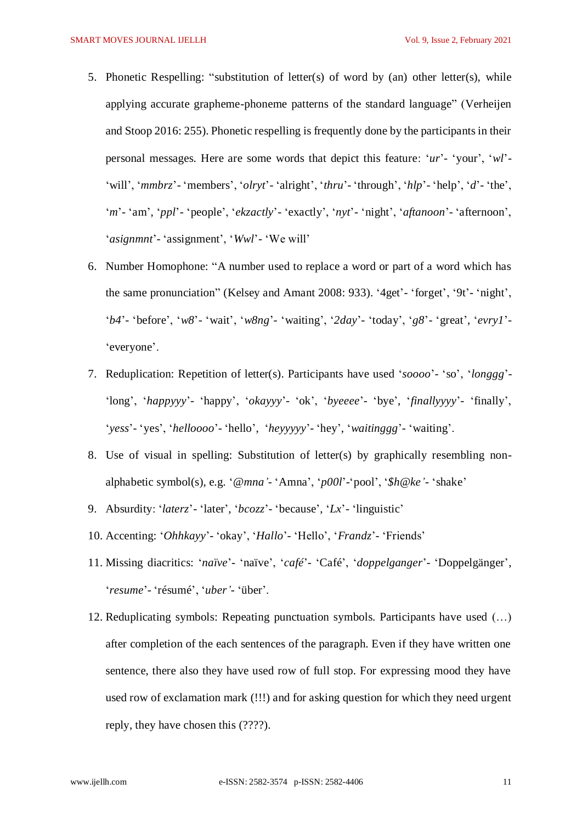- 5. Phonetic Respelling: "substitution of letter(s) of word by (an) other letter(s), while applying accurate grapheme-phoneme patterns of the standard language" (Verheijen and Stoop 2016: 255). Phonetic respelling is frequently done by the participants in their personal messages. Here are some words that depict this feature: '*ur*'- 'your', '*wl*'- 'will', '*mmbrz*'- 'members', '*olryt*'- 'alright', '*thru*'- 'through', '*hlp*'- 'help', '*d*'- 'the', '*m*'- 'am', '*ppl*'- 'people', '*ekzactly*'- 'exactly', '*nyt*'- 'night', '*aftanoon*'- 'afternoon', '*asignmnt*'- 'assignment', '*Wwl*'- 'We will'
- 6. Number Homophone: "A number used to replace a word or part of a word which has the same pronunciation" (Kelsey and Amant 2008: 933). '4get'- 'forget', '9t'- 'night', '*b4*'- 'before', '*w8*'- 'wait', '*w8ng*'- 'waiting', '*2day*'- 'today', '*g8*'- 'great', '*evry1*'- 'everyone'.
- 7. Reduplication: Repetition of letter(s). Participants have used '*soooo*'- 'so', '*longgg*'- 'long', '*happyyy*'- 'happy', '*okayyy*'- 'ok', '*byeeee*'- 'bye', '*finallyyyy*'- 'finally', '*yess*'- 'yes', '*helloooo*'- 'hello', '*heyyyyy*'- 'hey', '*waitinggg*'- 'waiting'.
- 8. Use of visual in spelling: Substitution of letter(s) by graphically resembling nonalphabetic symbol(s), e.g. '*@mna'*- 'Amna', '*p00l*'-'pool', '*\$h@ke'*- 'shake'
- 9. Absurdity: '*laterz*'- 'later', '*bcozz*'- 'because', '*Lx*'- 'linguistic'
- 10. Accenting: '*Ohhkayy*'- 'okay', '*Hallo*'- 'Hello', '*Frandz*'- 'Friends'
- 11. Missing diacritics: '*naïve*'- ['naïve'](https://en.wikipedia.org/wiki/Na%C3%AFve), '*café*'- 'Café', '*doppelganger*'- 'Doppelgänger', '*resume*'- 'résumé', '*uber'*- 'über'.
- 12. Reduplicating symbols: Repeating punctuation symbols. Participants have used (…) after completion of the each sentences of the paragraph. Even if they have written one sentence, there also they have used row of full stop. For expressing mood they have used row of exclamation mark (!!!) and for asking question for which they need urgent reply, they have chosen this (????).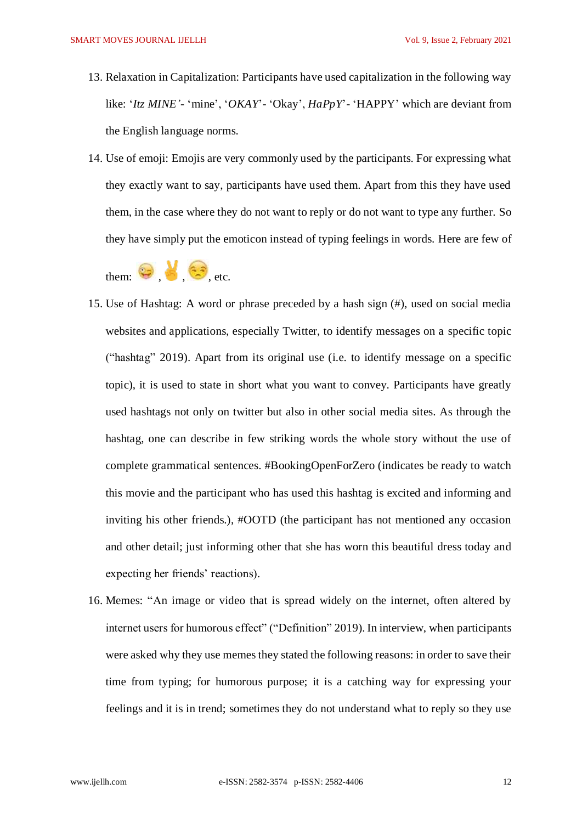- 13. Relaxation in Capitalization: Participants have used capitalization in the following way like: '*Itz MINE'*- 'mine', '*OKAY*'- 'Okay', *HaPpY*'- 'HAPPY' which are deviant from the English language norms.
- 14. Use of emoji: Emojis are very commonly used by the participants. For expressing what they exactly want to say, participants have used them. Apart from this they have used them, in the case where they do not want to reply or do not want to type any further. So they have simply put the emoticon instead of typing feelings in words. Here are few of

them:  $\bigoplus_{\text{etc.}} \bigotimes_{\text{etc.}}$ 

- 15. Use of Hashtag: A word or phrase preceded by a hash sign (#), used on social media websites and applications, especially Twitter, to identify messages on a specific topic ("hashtag" 2019). Apart from its original use (i.e. to identify message on a specific topic), it is used to state in short what you want to convey. Participants have greatly used hashtags not only on twitter but also in other social media sites. As through the hashtag, one can describe in few striking words the whole story without the use of complete grammatical sentences. #BookingOpenForZero (indicates be ready to watch this movie and the participant who has used this hashtag is excited and informing and inviting his other friends.), #OOTD (the participant has not mentioned any occasion and other detail; just informing other that she has worn this beautiful dress today and expecting her friends' reactions).
- 16. Memes: "An image or video that is spread widely on the internet, often altered by internet users for humorous effect" ("Definition" 2019). In interview, when participants were asked why they use memes they stated the following reasons: in order to save their time from typing; for humorous purpose; it is a catching way for expressing your feelings and it is in trend; sometimes they do not understand what to reply so they use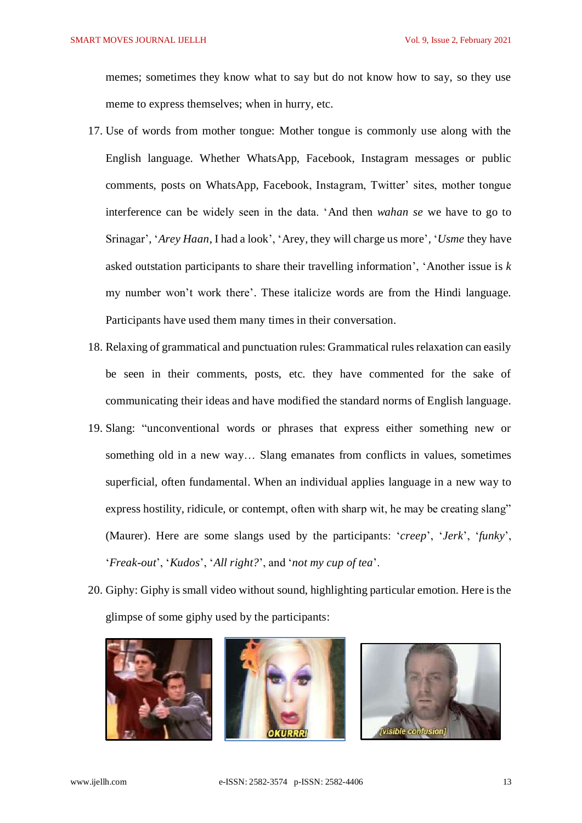memes; sometimes they know what to say but do not know how to say, so they use meme to express themselves; when in hurry, etc.

- 17. Use of words from mother tongue: Mother tongue is commonly use along with the English language. Whether WhatsApp, Facebook, Instagram messages or public comments, posts on WhatsApp, Facebook, Instagram, Twitter' sites, mother tongue interference can be widely seen in the data. 'And then *wahan se* we have to go to Srinagar', '*Arey Haan*, I had a look', 'Arey, they will charge us more', '*Usme* they have asked outstation participants to share their travelling information', 'Another issue is *k* my number won't work there'. These italicize words are from the Hindi language. Participants have used them many times in their conversation.
- 18. Relaxing of grammatical and punctuation rules: Grammatical rules relaxation can easily be seen in their comments, posts, etc. they have commented for the sake of communicating their ideas and have modified the standard norms of English language.
- 19. Slang: "unconventional words or phrases that express either something new or something old in a new way… Slang emanates from conflicts in values, sometimes superficial, often fundamental. When an individual applies language in a new way to express hostility, ridicule, or [contempt,](https://www.merriam-webster.com/dictionary/contempt) often with sharp wit, he may be creating slang" (Maurer). Here are some slangs used by the participants: '*creep*', '*Jerk*', '*funky*', '*Freak-out*', '*Kudos*', '*All right?*', and '*not my cup of tea*'.
- 20. Giphy: Giphy is small video without sound, highlighting particular emotion. Here is the glimpse of some giphy used by the participants:





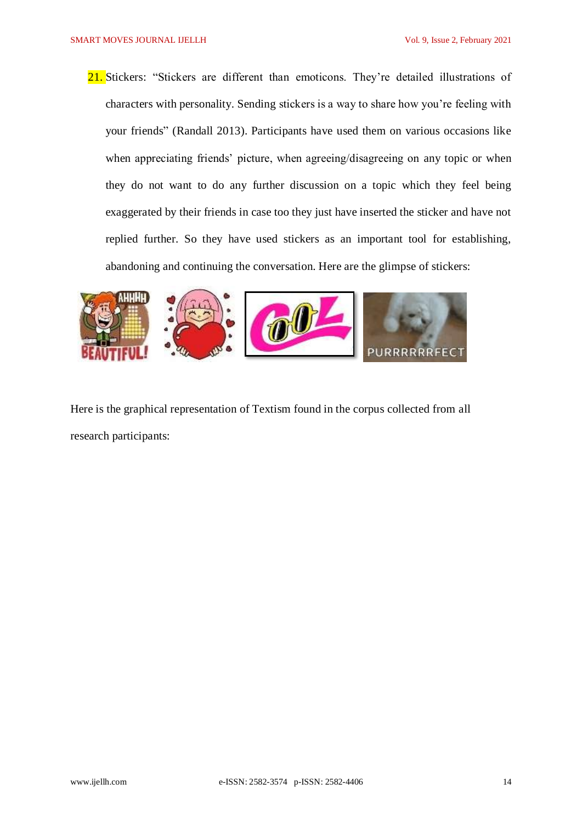21. Stickers: "Stickers are different than emoticons. They're detailed illustrations of characters with personality. Sending stickers is a way to share how you're feeling with your friends" (Randall 2013). Participants have used them on various occasions like when appreciating friends' picture, when agreeing/disagreeing on any topic or when they do not want to do any further discussion on a topic which they feel being exaggerated by their friends in case too they just have inserted the sticker and have not replied further. So they have used stickers as an important tool for establishing, abandoning and continuing the conversation. Here are the glimpse of stickers:



Here is the graphical representation of Textism found in the corpus collected from all research participants: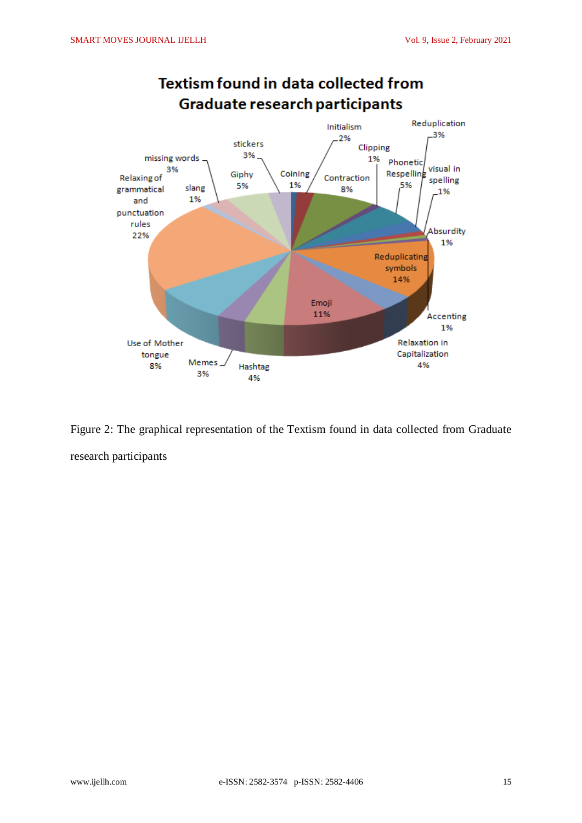

# **Textism found in data collected from**

Figure 2: The graphical representation of the Textism found in data collected from Graduate research participants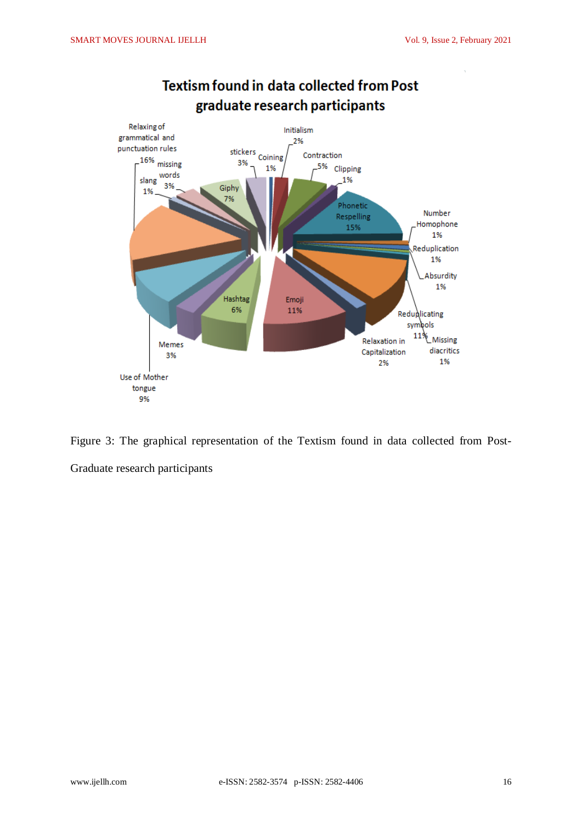

# **Textism found in data collected from Post** graduate research participants

Figure 3: The graphical representation of the Textism found in data collected from Post-Graduate research participants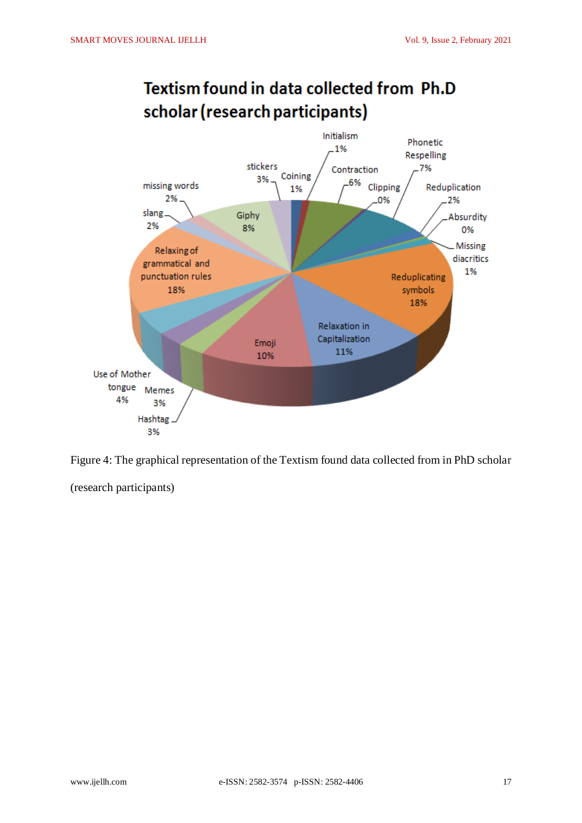

# Textism found in data collected from Ph.D scholar (research participants)

Figure 4: The graphical representation of the Textism found data collected from in PhD scholar

(research participants)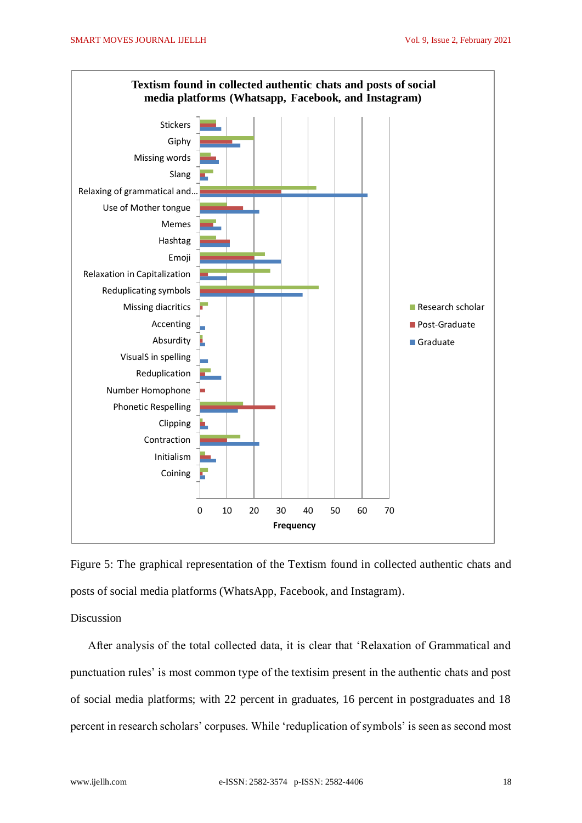

Figure 5: The graphical representation of the Textism found in collected authentic chats and posts of social media platforms (WhatsApp, Facebook, and Instagram).

Discussion

After analysis of the total collected data, it is clear that 'Relaxation of Grammatical and punctuation rules' is most common type of the textisim present in the authentic chats and post of social media platforms; with 22 percent in graduates, 16 percent in postgraduates and 18 percent in research scholars' corpuses. While 'reduplication of symbols' is seen as second most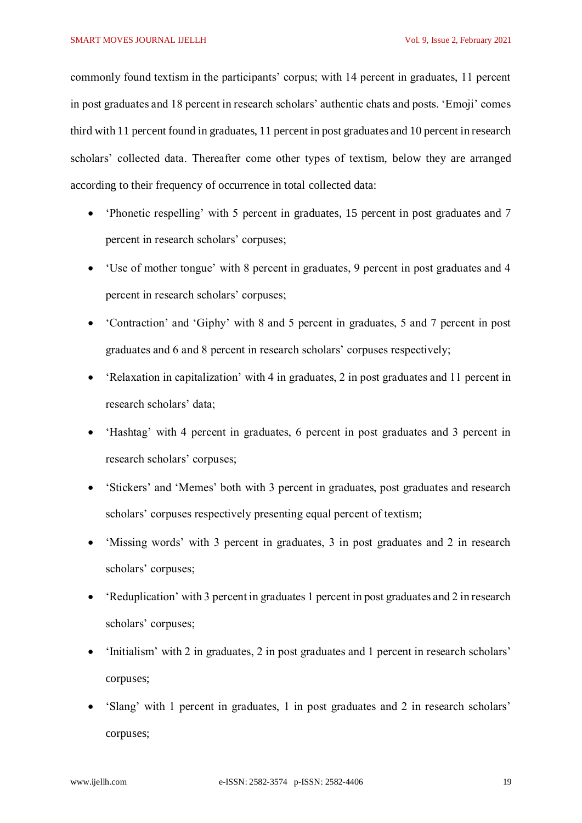commonly found textism in the participants' corpus; with 14 percent in graduates, 11 percent in post graduates and 18 percent in research scholars' authentic chats and posts. 'Emoji' comes third with 11 percent found in graduates, 11 percent in post graduates and 10 percent in research scholars' collected data. Thereafter come other types of textism, below they are arranged according to their frequency of occurrence in total collected data:

- 'Phonetic respelling' with 5 percent in graduates, 15 percent in post graduates and 7 percent in research scholars' corpuses;
- 'Use of mother tongue' with 8 percent in graduates, 9 percent in post graduates and 4 percent in research scholars' corpuses;
- 'Contraction' and 'Giphy' with 8 and 5 percent in graduates, 5 and 7 percent in post graduates and 6 and 8 percent in research scholars' corpuses respectively;
- 'Relaxation in capitalization' with 4 in graduates, 2 in post graduates and 11 percent in research scholars' data;
- 'Hashtag' with 4 percent in graduates, 6 percent in post graduates and 3 percent in research scholars' corpuses;
- 'Stickers' and 'Memes' both with 3 percent in graduates, post graduates and research scholars' corpuses respectively presenting equal percent of textism;
- 'Missing words' with 3 percent in graduates, 3 in post graduates and 2 in research scholars' corpuses;
- 'Reduplication' with 3 percent in graduates 1 percent in post graduates and 2 in research scholars' corpuses;
- 'Initialism' with 2 in graduates, 2 in post graduates and 1 percent in research scholars' corpuses;
- 'Slang' with 1 percent in graduates, 1 in post graduates and 2 in research scholars' corpuses;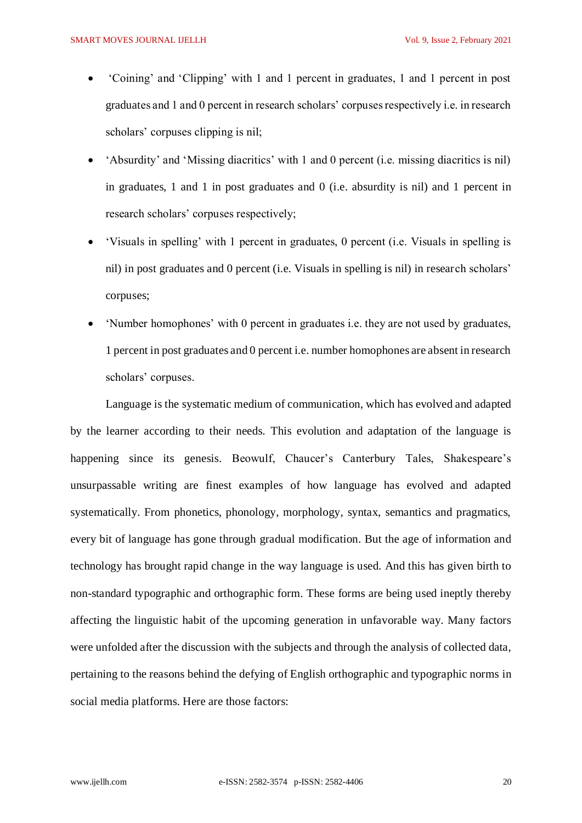- 'Coining' and 'Clipping' with 1 and 1 percent in graduates, 1 and 1 percent in post graduates and 1 and 0 percent in research scholars' corpuses respectively i.e. in research scholars' corpuses clipping is nil;
- 'Absurdity' and 'Missing diacritics' with 1 and 0 percent (i.e. missing diacritics is nil) in graduates, 1 and 1 in post graduates and 0 (i.e. absurdity is nil) and 1 percent in research scholars' corpuses respectively;
- 'Visuals in spelling' with 1 percent in graduates, 0 percent (i.e. Visuals in spelling is nil) in post graduates and 0 percent (i.e. Visuals in spelling is nil) in research scholars' corpuses;
- 'Number homophones' with 0 percent in graduates i.e. they are not used by graduates, 1 percent in post graduates and 0 percent i.e. number homophones are absent in research scholars' corpuses.

Language is the systematic medium of communication, which has evolved and adapted by the learner according to their needs. This evolution and adaptation of the language is happening since its genesis. Beowulf, Chaucer's Canterbury Tales, Shakespeare's unsurpassable writing are finest examples of how language has evolved and adapted systematically. From phonetics, phonology, morphology, syntax, semantics and pragmatics, every bit of language has gone through gradual modification. But the age of information and technology has brought rapid change in the way language is used. And this has given birth to non-standard typographic and orthographic form. These forms are being used ineptly thereby affecting the linguistic habit of the upcoming generation in unfavorable way. Many factors were unfolded after the discussion with the subjects and through the analysis of collected data, pertaining to the reasons behind the defying of English orthographic and typographic norms in social media platforms. Here are those factors: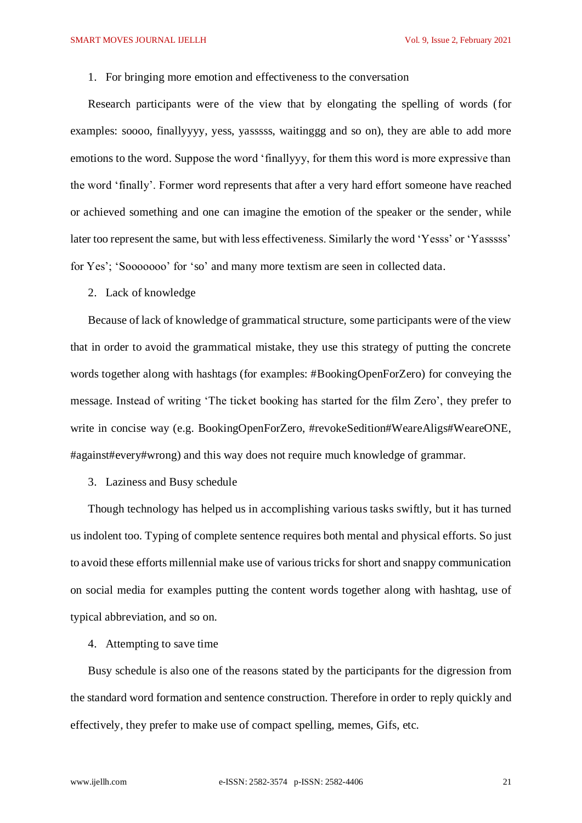### 1. For bringing more emotion and effectiveness to the conversation

Research participants were of the view that by elongating the spelling of words (for examples: soooo, finallyyyy, yess, yasssss, waitinggg and so on), they are able to add more emotions to the word. Suppose the word 'finallyyy, for them this word is more expressive than the word 'finally'. Former word represents that after a very hard effort someone have reached or achieved something and one can imagine the emotion of the speaker or the sender, while later too represent the same, but with less effectiveness. Similarly the word 'Yesss' or 'Yasssss' for Yes'; 'Sooooooo' for 'so' and many more textism are seen in collected data.

2. Lack of knowledge

Because of lack of knowledge of grammatical structure, some participants were of the view that in order to avoid the grammatical mistake, they use this strategy of putting the concrete words together along with hashtags (for examples: #BookingOpenForZero) for conveying the message. Instead of writing 'The ticket booking has started for the film Zero', they prefer to write in concise way (e.g. BookingOpenForZero, #revokeSedition#WeareAligs#WeareONE, #against#every#wrong) and this way does not require much knowledge of grammar.

3. Laziness and Busy schedule

Though technology has helped us in accomplishing various tasks swiftly, but it has turned us indolent too. Typing of complete sentence requires both mental and physical efforts. So just to avoid these efforts millennial make use of various tricks for short and snappy communication on social media for examples putting the content words together along with hashtag, use of typical abbreviation, and so on.

# 4. Attempting to save time

Busy schedule is also one of the reasons stated by the participants for the digression from the standard word formation and sentence construction. Therefore in order to reply quickly and effectively, they prefer to make use of compact spelling, memes, Gifs, etc.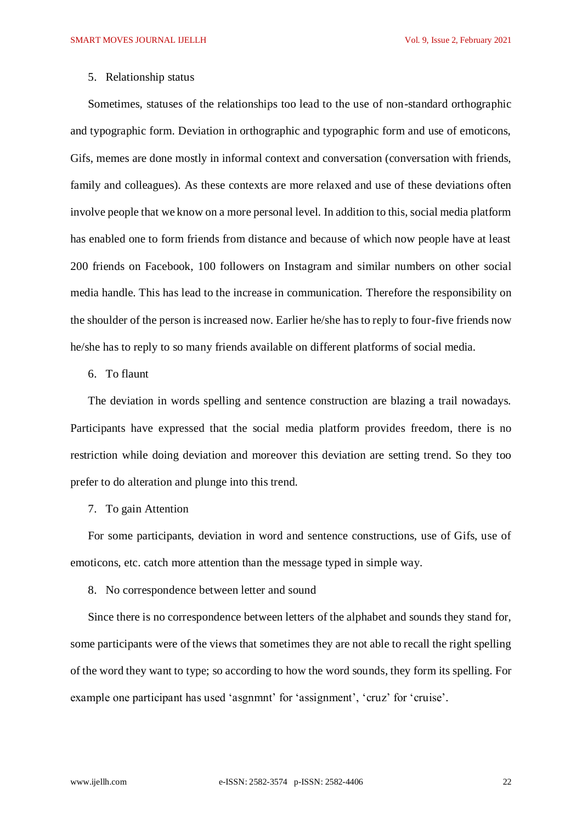## 5. Relationship status

Sometimes, statuses of the relationships too lead to the use of non-standard orthographic and typographic form. Deviation in orthographic and typographic form and use of emoticons, Gifs, memes are done mostly in informal context and conversation (conversation with friends, family and colleagues). As these contexts are more relaxed and use of these deviations often involve people that we know on a more personal level. In addition to this, social media platform has enabled one to form friends from distance and because of which now people have at least 200 friends on Facebook, 100 followers on Instagram and similar numbers on other social media handle. This has lead to the increase in communication. Therefore the responsibility on the shoulder of the person is increased now. Earlier he/she has to reply to four-five friends now he/she has to reply to so many friends available on different platforms of social media.

### 6. To flaunt

The deviation in words spelling and sentence construction are blazing a trail nowadays. Participants have expressed that the social media platform provides freedom, there is no restriction while doing deviation and moreover this deviation are setting trend. So they too prefer to do alteration and plunge into this trend.

## 7. To gain Attention

For some participants, deviation in word and sentence constructions, use of Gifs, use of emoticons, etc. catch more attention than the message typed in simple way.

## 8. No correspondence between letter and sound

Since there is no correspondence between letters of the alphabet and sounds they stand for, some participants were of the views that sometimes they are not able to recall the right spelling of the word they want to type; so according to how the word sounds, they form its spelling. For example one participant has used 'asgnmnt' for 'assignment', 'cruz' for 'cruise'.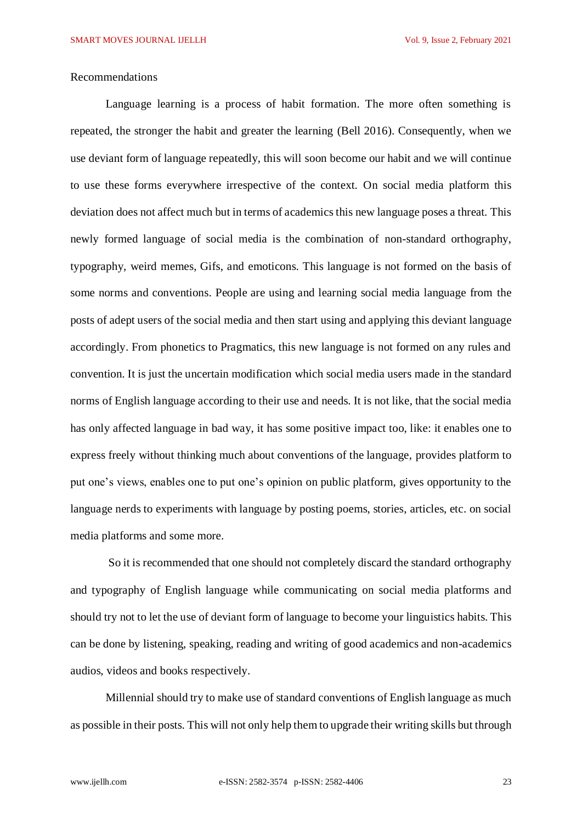### Recommendations

Language learning is a process of habit formation. The more often something is repeated, the stronger the habit and greater the learning (Bell 2016). Consequently, when we use deviant form of language repeatedly, this will soon become our habit and we will continue to use these forms everywhere irrespective of the context. On social media platform this deviation does not affect much but in terms of academics this new language poses a threat. This newly formed language of social media is the combination of non-standard orthography, typography, weird memes, Gifs, and emoticons. This language is not formed on the basis of some norms and conventions. People are using and learning social media language from the posts of adept users of the social media and then start using and applying this deviant language accordingly. From phonetics to Pragmatics, this new language is not formed on any rules and convention. It is just the uncertain modification which social media users made in the standard norms of English language according to their use and needs. It is not like, that the social media has only affected language in bad way, it has some positive impact too, like: it enables one to express freely without thinking much about conventions of the language, provides platform to put one's views, enables one to put one's opinion on public platform, gives opportunity to the language nerds to experiments with language by posting poems, stories, articles, etc. on social media platforms and some more.

So it is recommended that one should not completely discard the standard orthography and typography of English language while communicating on social media platforms and should try not to let the use of deviant form of language to become your linguistics habits. This can be done by listening, speaking, reading and writing of good academics and non-academics audios, videos and books respectively.

Millennial should try to make use of standard conventions of English language as much as possible in their posts. This will not only help them to upgrade their writing skills but through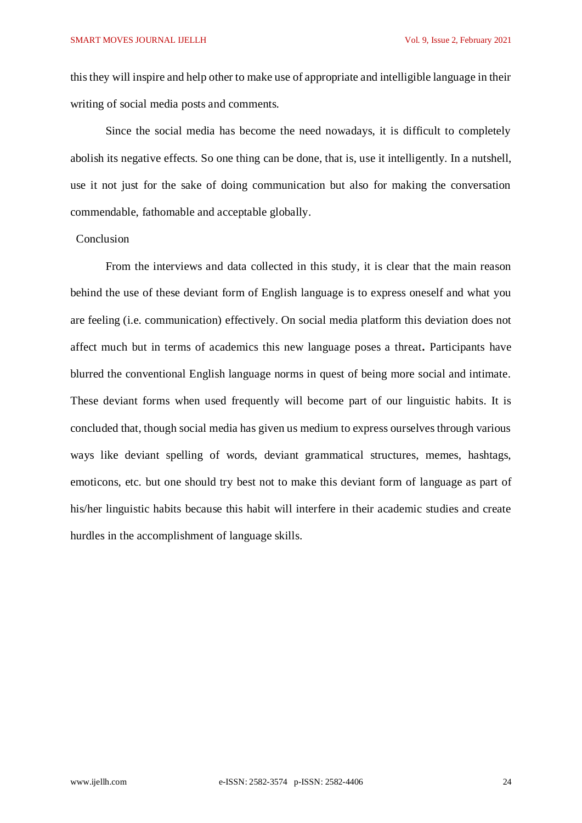this they will inspire and help other to make use of appropriate and intelligible language in their writing of social media posts and comments.

Since the social media has become the need nowadays, it is difficult to completely abolish its negative effects. So one thing can be done, that is, use it intelligently. In a nutshell, use it not just for the sake of doing communication but also for making the conversation commendable, fathomable and acceptable globally.

### **Conclusion**

From the interviews and data collected in this study, it is clear that the main reason behind the use of these deviant form of English language is to express oneself and what you are feeling (i.e. communication) effectively. On social media platform this deviation does not affect much but in terms of academics this new language poses a threat**.** Participants have blurred the conventional English language norms in quest of being more social and intimate. These deviant forms when used frequently will become part of our linguistic habits. It is concluded that, though social media has given us medium to express ourselves through various ways like deviant spelling of words, deviant grammatical structures, memes, hashtags, emoticons, etc. but one should try best not to make this deviant form of language as part of his/her linguistic habits because this habit will interfere in their academic studies and create hurdles in the accomplishment of language skills.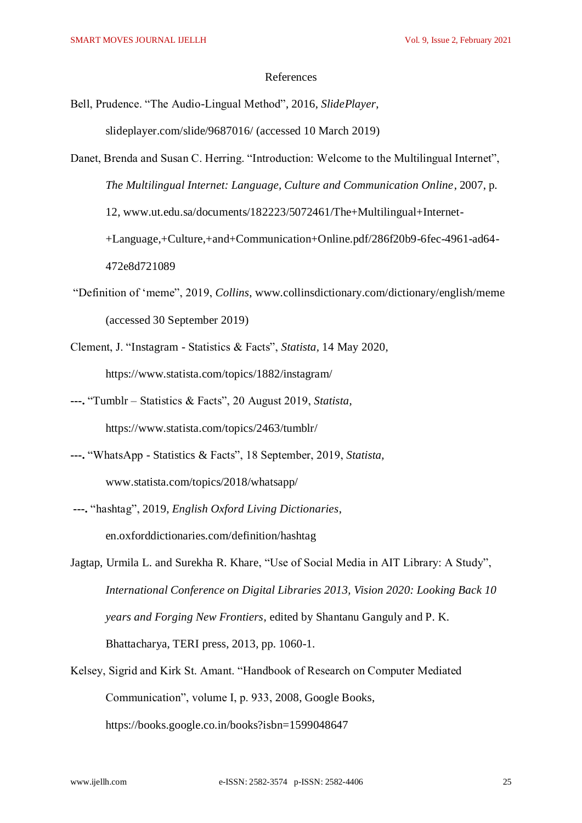#### References

- Bell, Prudence. "The Audio-Lingual Method", 2016, *SlidePlayer*, slideplayer.com/slide/9687016/ (accessed 10 March 2019)
- Danet, Brenda and Susan C. Herring. "Introduction: Welcome to the Multilingual Internet", *The Multilingual Internet: Language, Culture and Communication Online*, 2007, p. 12, www.ut.edu.sa/documents/182223/5072461/The+Multilingual+Internet- +Language,+Culture,+and+Communication+Online.pdf/286f20b9-6fec-4961-ad64- 472e8d721089
- "Definition of 'meme", 2019, *Collins*, [www.collinsdictionary.com/dictionary/english/meme](http://www.collinsdictionary.com/dictionary/english/meme) (accessed 30 September 2019)
- Clement, J. "Instagram Statistics & Facts", *Statista,* 14 May 2020, <https://www.statista.com/topics/1882/instagram/>
- **---.** "Tumblr Statistics & Facts", 20 August 2019, *Statista*, <https://www.statista.com/topics/2463/tumblr/>
- **---.** "WhatsApp Statistics & Facts", 18 September, 2019, *Statista,* www.statista.com/topics/2018/whatsapp/
- **---.** "hashtag", 2019, *English Oxford Living Dictionaries*, en.oxforddictionaries.com/definition/hashtag
- Jagtap, Urmila L. and Surekha R. Khare, "Use of Social Media in AIT Library: A Study", *International Conference on Digital Libraries 2013, Vision 2020: Looking Back 10 years and Forging New Frontiers*, edited by Shantanu Ganguly and P. K. Bhattacharya, TERI press, 2013, pp. 1060-1.
- Kelsey, Sigrid and Kirk St. Amant. "Handbook of Research on Computer Mediated Communication", volume I, p. 933, 2008, Google Books,

https://books.google.co.in/books?isbn=1599048647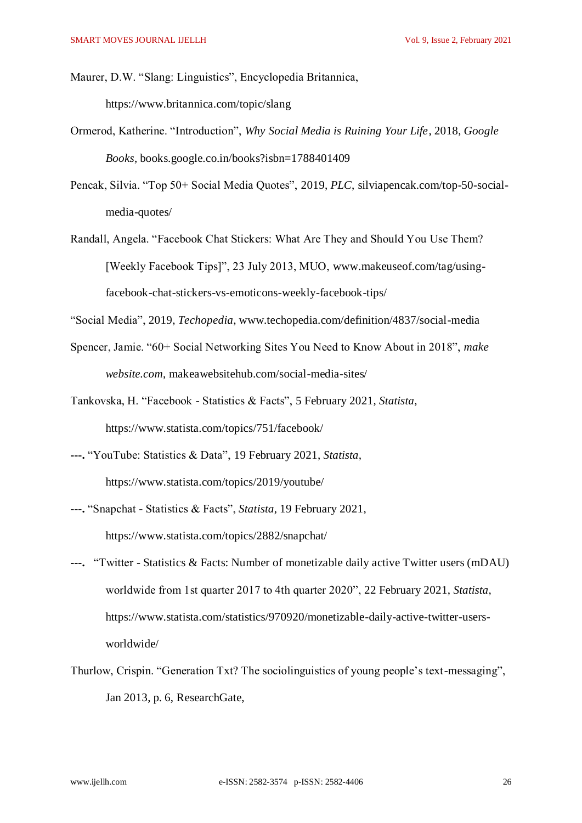Maurer, D.W. "Slang: Linguistics", Encyclopedia Britannica, https://www.britannica.com/topic/slang

- Ormerod, Katherine. "Introduction", *Why Social Media is Ruining Your Life*, 2018, *Google Books*, books.google.co.in/books?isbn=1788401409
- Pencak, Silvia. "Top 50+ Social Media Quotes", 2019, *PLC*, silviapencak.com/top-50-socialmedia-quotes/
- Randall, Angela. "Facebook Chat Stickers: What Are They and Should You Use Them? [Weekly Facebook Tips]", 23 July 2013, MUO, www.makeuseof.com/tag/usingfacebook-chat-stickers-vs-emoticons-weekly-facebook-tips/

"Social Media", 2019, *Techopedia*, [www.techopedia.com/definition/4837/social-media](http://www.techopedia.com/definition/4837/social-media)

- Spencer, Jamie. "60+ Social Networking Sites You Need to Know About in 2018", *make website.com*, makeawebsitehub.com/social-media-sites/
- Tankovska, H. "Facebook Statistics & Facts", 5 February 2021, *Statista*, https://www.statista.com/topics/751/facebook/
- **---.** "YouTube: Statistics & Data", 19 February 2021, *Statista,* https://www.statista.com/topics/2019/youtube/
- **---.** "Snapchat Statistics & Facts", *Statista*, 19 February 2021, https://www.statista.com/topics/2882/snapchat/
- **---.** "Twitter Statistics & Facts: Number of monetizable daily active Twitter users (mDAU) worldwide from 1st quarter 2017 to 4th quarter 2020", 22 February 2021, *Statista*, https://www.statista.com/statistics/970920/monetizable-daily-active-twitter-usersworldwide/
- Thurlow, Crispin. "Generation Txt? The sociolinguistics of young people's text-messaging", Jan 2013, p. 6, ResearchGate,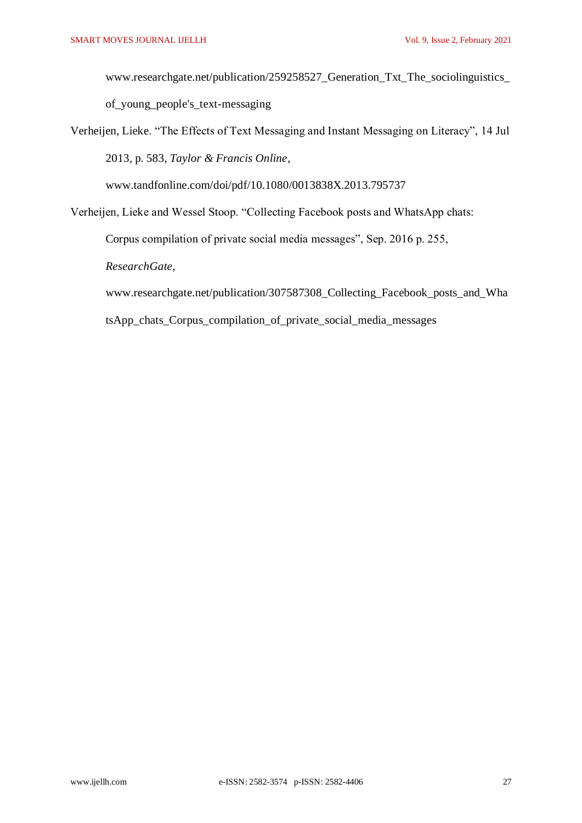www.researchgate.net/publication/259258527\_Generation\_Txt\_The\_sociolinguistics\_ of\_young\_people's\_text-messaging

Verheijen, Lieke. "The Effects of Text Messaging and Instant Messaging on Literacy", 14 Jul 2013, p. 583, *Taylor & Francis Online*,

www.tandfonline.com/doi/pdf/10.1080/0013838X.2013.795737

Verheijen, Lieke and Wessel Stoop. "Collecting Facebook posts and WhatsApp chats:

Corpus compilation of private social media messages", Sep. 2016 p. 255,

*ResearchGate*,

www.researchgate.net/publication/307587308\_Collecting\_Facebook\_posts\_and\_Wha

tsApp\_chats\_Corpus\_compilation\_of\_private\_social\_media\_messages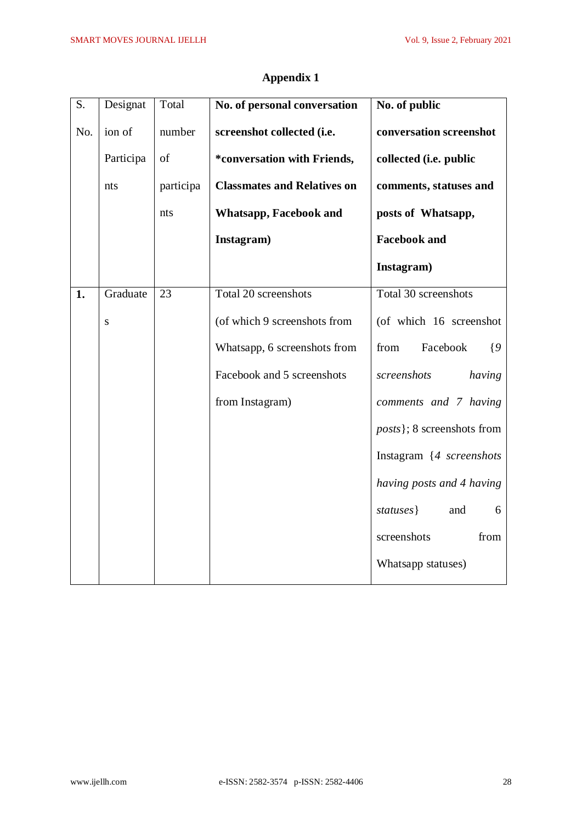| S.  | Designat  | Total     | No. of personal conversation       | No. of public                      |
|-----|-----------|-----------|------------------------------------|------------------------------------|
| No. | ion of    | number    | screenshot collected (i.e.         | conversation screenshot            |
|     | Participa | of        | *conversation with Friends,        | collected (i.e. public             |
|     | nts       | participa | <b>Classmates and Relatives on</b> | comments, statuses and             |
|     |           | nts       | <b>Whatsapp, Facebook and</b>      | posts of Whatsapp,                 |
|     |           |           | Instagram)                         | <b>Facebook and</b>                |
|     |           |           |                                    | Instagram)                         |
| 1.  | Graduate  | 23        | Total 20 screenshots               | Total 30 screenshots               |
|     | ${\bf S}$ |           | (of which 9 screenshots from       | (of which 16 screenshot            |
|     |           |           | Whatsapp, 6 screenshots from       | Facebook<br>from<br>$\{9$          |
|     |           |           | Facebook and 5 screenshots         | screenshots<br>having              |
|     |           |           | from Instagram)                    | comments and 7 having              |
|     |           |           |                                    | <i>posts</i> }; 8 screenshots from |
|     |           |           |                                    | Instagram {4 screenshots           |
|     |           |           |                                    | having posts and 4 having          |
|     |           |           |                                    | statuses }<br>and<br>6             |
|     |           |           |                                    | screenshots<br>from                |
|     |           |           |                                    | Whatsapp statuses)                 |

# **Appendix 1**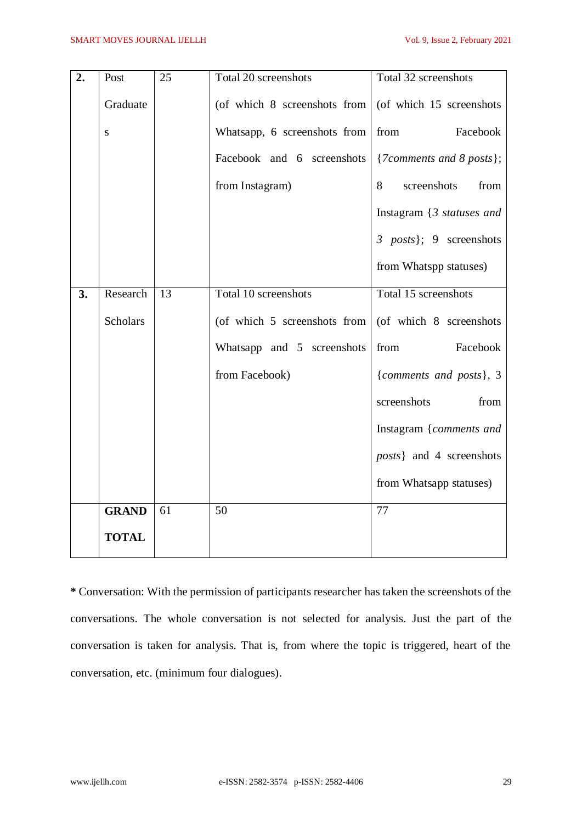| 2. | Post            | 25 | Total 20 screenshots         | Total 32 screenshots                                   |
|----|-----------------|----|------------------------------|--------------------------------------------------------|
|    | Graduate        |    | (of which 8 screenshots from | (of which 15 screenshots                               |
|    | ${\bf S}$       |    | Whatsapp, 6 screenshots from | Facebook<br>from                                       |
|    |                 |    | Facebook and 6 screenshots   | ${7$ <i>Comments</i> and 8 <i>ports</i> };             |
|    |                 |    | from Instagram)              | 8<br>screenshots<br>from                               |
|    |                 |    |                              | Instagram $\{3 \; \text{statuses} \; \text{and} \; \}$ |
|    |                 |    |                              | 3 posts); 9 screenshots                                |
|    |                 |    |                              | from Whatspp statuses)                                 |
| 3. | Research        | 13 | Total 10 screenshots         | Total 15 screenshots                                   |
|    | <b>Scholars</b> |    | (of which 5 screenshots from | (of which 8 screenshots                                |
|    |                 |    | Whatsapp and 5 screenshots   | from<br>Facebook                                       |
|    |                 |    | from Facebook)               | {comments and posts}, 3                                |
|    |                 |    |                              | screenshots<br>from                                    |
|    |                 |    |                              | Instagram {comments and                                |
|    |                 |    |                              | <i>posts</i> } and 4 screenshots                       |
|    |                 |    |                              | from Whatsapp statuses)                                |
|    | <b>GRAND</b>    | 61 | 50                           | 77                                                     |
|    | <b>TOTAL</b>    |    |                              |                                                        |

**\*** Conversation: With the permission of participants researcher has taken the screenshots of the conversations. The whole conversation is not selected for analysis. Just the part of the conversation is taken for analysis. That is, from where the topic is triggered, heart of the conversation, etc. (minimum four dialogues).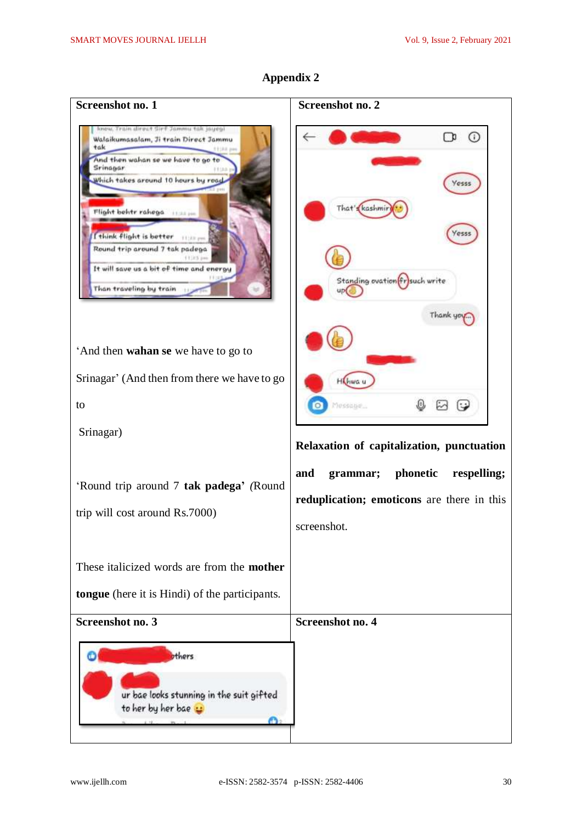

# **Appendix 2**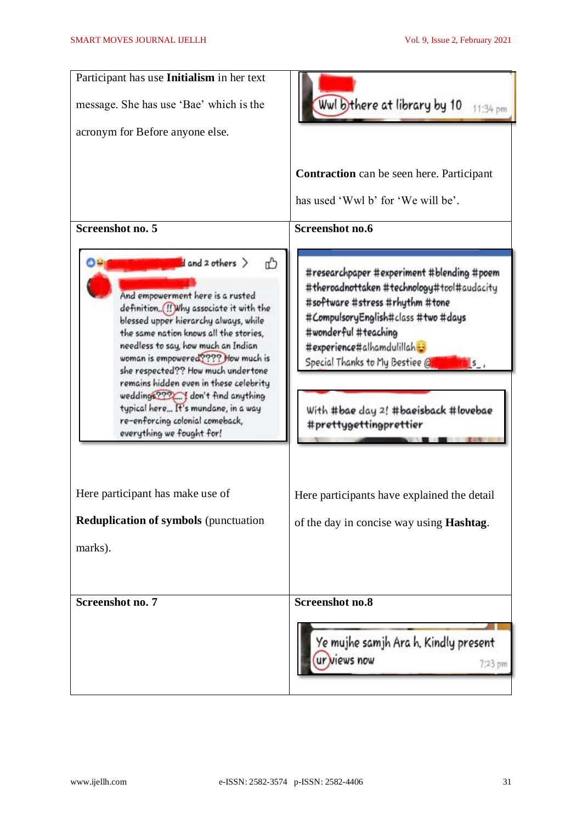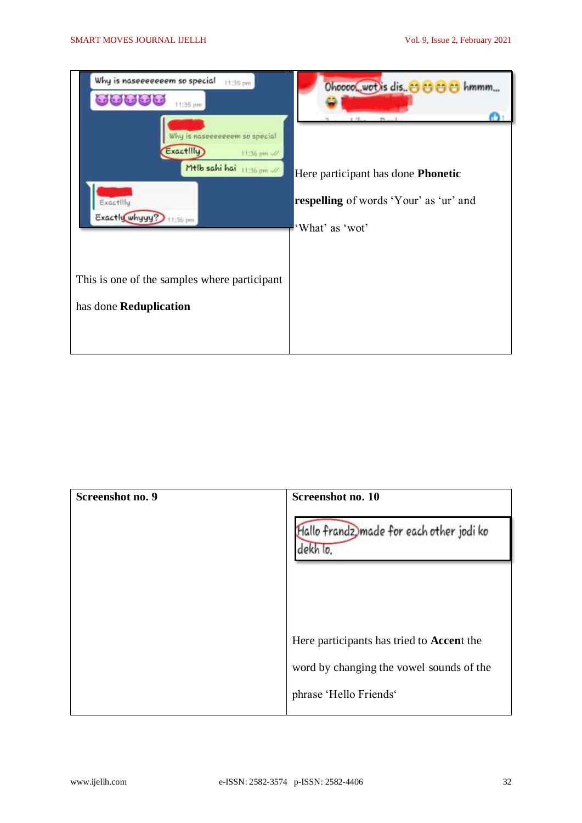

| Screenshot no. 9 | Screenshot no. 10                                    |
|------------------|------------------------------------------------------|
|                  | Hallo frandz, made for each other jodi ko<br>dekh lo |
|                  |                                                      |
|                  |                                                      |
|                  | Here participants has tried to Accent the            |
|                  | word by changing the vowel sounds of the             |
|                  | phrase 'Hello Friends'                               |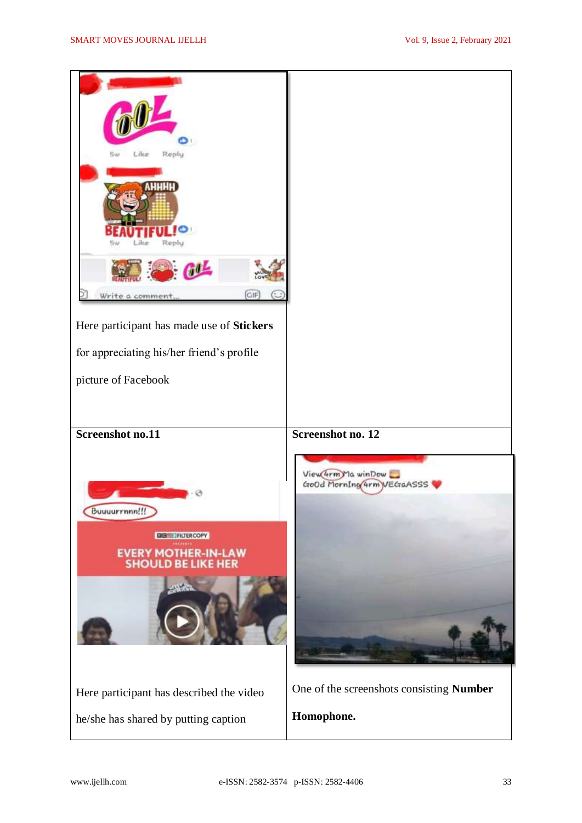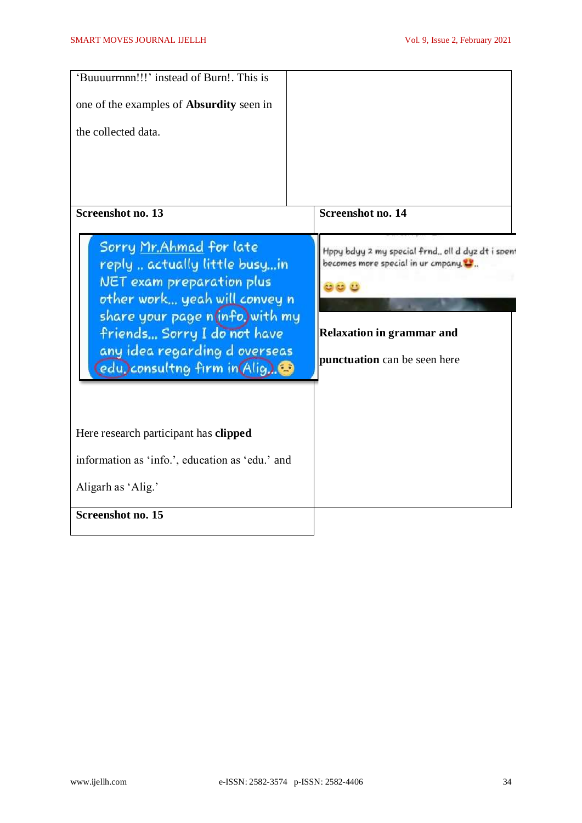| 'Buuuurrnnn!!!' instead of Burn!. This is<br>one of the examples of <b>Absurdity</b> seen in<br>the collected data.                                                                                                                                               |                                                                                                                                                                    |
|-------------------------------------------------------------------------------------------------------------------------------------------------------------------------------------------------------------------------------------------------------------------|--------------------------------------------------------------------------------------------------------------------------------------------------------------------|
| <b>Screenshot no. 13</b>                                                                                                                                                                                                                                          | <b>Screenshot no. 14</b>                                                                                                                                           |
| Sorry Mr. Ahmad for late<br>reply  actually little busyin<br><b>NET</b> exam preparation plus<br>other work yeah will convey n<br>share your page n(info, with my<br>friends Sorry I do not have<br>any idea regarding d overseas<br>edu, consultng firm in Alig. | Hppy bdyy 2 my special frnd., oll d dyz dt i spen<br>becomes more special in ur cmpany.<br><b>Relaxation in grammar and</b><br><b>punctuation</b> can be seen here |
| Here research participant has clipped                                                                                                                                                                                                                             |                                                                                                                                                                    |
| information as 'info.', education as 'edu.' and                                                                                                                                                                                                                   |                                                                                                                                                                    |
| Aligarh as 'Alig.'                                                                                                                                                                                                                                                |                                                                                                                                                                    |
| <b>Screenshot no. 15</b>                                                                                                                                                                                                                                          |                                                                                                                                                                    |